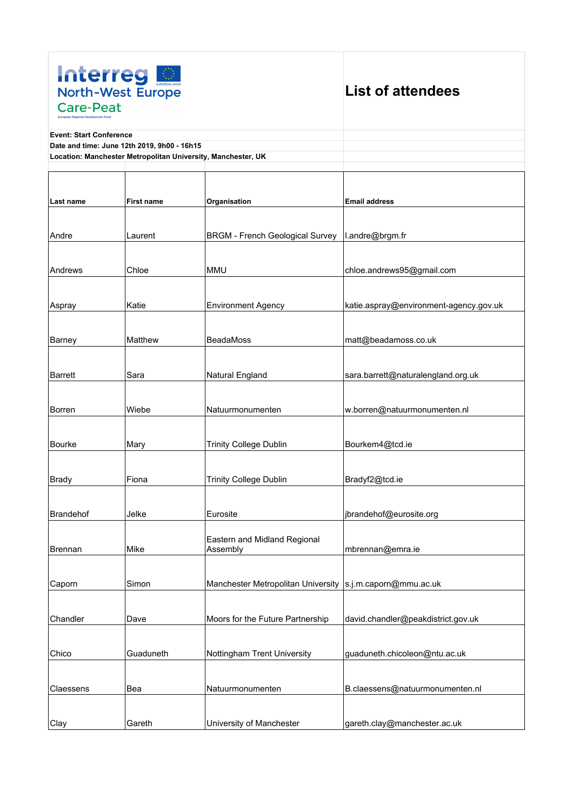

## **List of attendees**

**Event: Start Conference**

**Date and time: June 12th 2019, 9h00 - 16h15**

**Location: Manchester Metropolitan University, Manchester, UK**

| Last name      | <b>First name</b> | Organisation                                                | <b>Email address</b>                   |
|----------------|-------------------|-------------------------------------------------------------|----------------------------------------|
|                |                   |                                                             |                                        |
| Andre          | Laurent           | <b>BRGM - French Geological Survey</b>                      | l.andre@brgm.fr                        |
|                |                   |                                                             |                                        |
| Andrews        | Chloe             | <b>MMU</b>                                                  | chloe.andrews95@gmail.com              |
|                |                   |                                                             |                                        |
| Aspray         | Katie             | <b>Environment Agency</b>                                   | katie.aspray@environment-agency.gov.uk |
|                |                   |                                                             |                                        |
| Barney         | Matthew           | <b>BeadaMoss</b>                                            | matt@beadamoss.co.uk                   |
|                |                   |                                                             |                                        |
| Barrett        | Sara              | Natural England                                             | sara.barrett@naturalengland.org.uk     |
|                |                   |                                                             |                                        |
| Borren         | Wiebe             | Natuurmonumenten                                            | w.borren@natuurmonumenten.nl           |
|                |                   |                                                             |                                        |
| Bourke         | Mary              | <b>Trinity College Dublin</b>                               | Bourkem4@tcd.ie                        |
|                |                   |                                                             |                                        |
| <b>Brady</b>   | Fiona             | <b>Trinity College Dublin</b>                               | Bradyf2@tcd.ie                         |
|                |                   |                                                             |                                        |
| Brandehof      | Jelke             | Eurosite                                                    | jbrandehof@eurosite.org                |
|                |                   |                                                             |                                        |
|                |                   | Eastern and Midland Regional                                |                                        |
| <b>Brennan</b> | Mike              | Assembly                                                    | mbrennan@emra.ie                       |
|                |                   |                                                             |                                        |
| Caporn         | Simon             | Manchester Metropolitan University   s.j.m.caporn@mmu.ac.uk |                                        |
|                |                   |                                                             |                                        |
| Chandler       | Dave              | Moors for the Future Partnership                            | david.chandler@peakdistrict.gov.uk     |
|                |                   |                                                             |                                        |
| Chico          | Guaduneth         | Nottingham Trent University                                 | guaduneth.chicoleon@ntu.ac.uk          |
|                |                   |                                                             |                                        |
| Claessens      | Bea               | Natuurmonumenten                                            | B.claessens@natuurmonumenten.nl        |
|                |                   |                                                             |                                        |
| Clay           | Gareth            | University of Manchester                                    | gareth.clay@manchester.ac.uk           |
|                |                   |                                                             |                                        |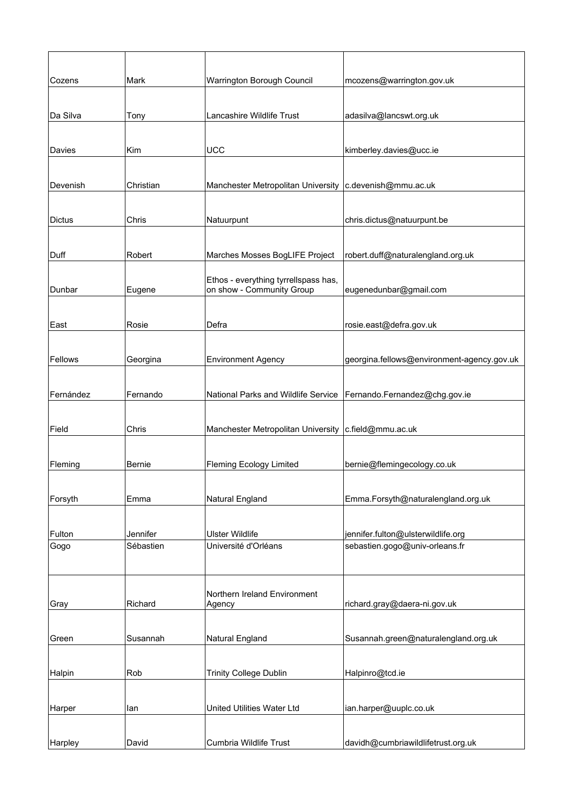| Cozens    | Mark      | Warrington Borough Council                             | mcozens@warrington.gov.uk                  |
|-----------|-----------|--------------------------------------------------------|--------------------------------------------|
|           |           |                                                        |                                            |
| Da Silva  | Tony      | Lancashire Wildlife Trust                              | adasilva@lancswt.org.uk                    |
|           |           |                                                        |                                            |
| Davies    | Kim       | <b>UCC</b>                                             | kimberley.davies@ucc.ie                    |
|           |           |                                                        |                                            |
| Devenish  | Christian | Manchester Metropolitan University                     | c.devenish@mmu.ac.uk                       |
|           |           |                                                        |                                            |
| Dictus    | Chris     | Natuurpunt                                             | chris.dictus@natuurpunt.be                 |
|           |           |                                                        |                                            |
| Duff      | Robert    | Marches Mosses BogLIFE Project                         | robert.duff@naturalengland.org.uk          |
|           |           | Ethos - everything tyrrellspass has,                   |                                            |
| Dunbar    | Eugene    | on show - Community Group                              | eugenedunbar@gmail.com                     |
|           |           |                                                        |                                            |
| East      | Rosie     | Defra                                                  | rosie.east@defra.gov.uk                    |
|           |           |                                                        |                                            |
| Fellows   | Georgina  | <b>Environment Agency</b>                              | georgina.fellows@environment-agency.gov.uk |
|           |           |                                                        |                                            |
| Fernández | Fernando  | National Parks and Wildlife Service                    | Fernando.Fernandez@chg.gov.ie              |
|           |           |                                                        |                                            |
| Field     | Chris     | Manchester Metropolitan University   c.field@mmu.ac.uk |                                            |
|           |           |                                                        |                                            |
| Fleming   | Bernie    | <b>Fleming Ecology Limited</b>                         | bernie@flemingecology.co.uk                |
|           |           |                                                        |                                            |
| Forsyth   | Emma      | Natural England                                        | Emma.Forsyth@naturalengland.org.uk         |
|           |           |                                                        |                                            |
| Fulton    | Jennifer  | <b>Ulster Wildlife</b>                                 | jennifer.fulton@ulsterwildlife.org         |
| Gogo      | Sébastien | Université d'Orléans                                   | sebastien.gogo@univ-orleans.fr             |
|           |           |                                                        |                                            |
|           |           |                                                        |                                            |
| Gray      | Richard   | Northern Ireland Environment<br>Agency                 | richard.gray@daera-ni.gov.uk               |
|           |           |                                                        |                                            |
| Green     | Susannah  | Natural England                                        | Susannah.green@naturalengland.org.uk       |
|           |           |                                                        |                                            |
| Halpin    | Rob       | <b>Trinity College Dublin</b>                          | Halpinro@tcd.ie                            |
|           |           |                                                        |                                            |
|           |           | United Utilities Water Ltd                             |                                            |
| Harper    | lan       |                                                        | ian.harper@uuplc.co.uk                     |
|           |           |                                                        |                                            |
| Harpley   | David     | Cumbria Wildlife Trust                                 | davidh@cumbriawildlifetrust.org.uk         |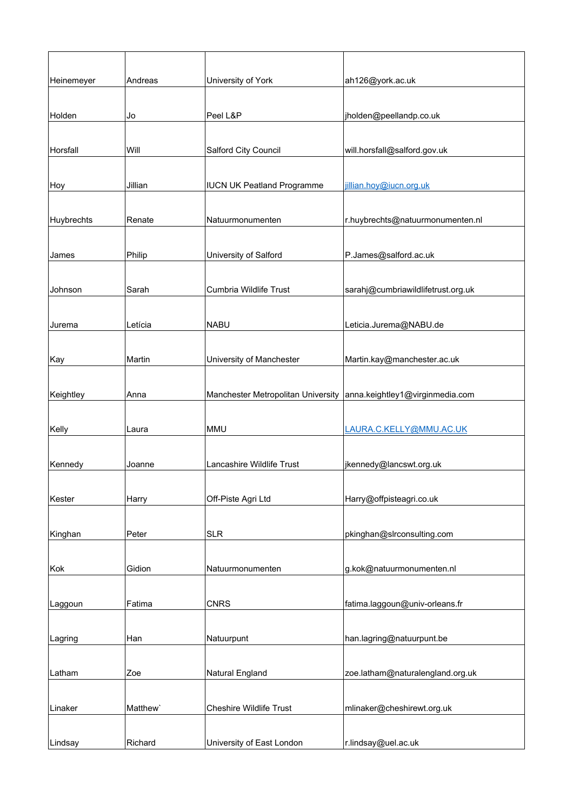| Heinemeyer | Andreas  | University of York                 | ah126@york.ac.uk                   |
|------------|----------|------------------------------------|------------------------------------|
|            |          |                                    |                                    |
| Holden     | Jo       | Peel L&P                           | jholden@peellandp.co.uk            |
| Horsfall   | Will     | Salford City Council               | will.horsfall@salford.gov.uk       |
|            |          |                                    |                                    |
| Hoy        | Jillian  | <b>IUCN UK Peatland Programme</b>  | jillian.hoy@iucn.org.uk            |
|            |          |                                    |                                    |
| Huybrechts | Renate   | Natuurmonumenten                   | r.huybrechts@natuurmonumenten.nl   |
| James      | Philip   | University of Salford              | P.James@salford.ac.uk              |
|            |          |                                    |                                    |
| Johnson    | Sarah    | Cumbria Wildlife Trust             | sarahj@cumbriawildlifetrust.org.uk |
| Jurema     | Letícia  | <b>NABU</b>                        | Leticia.Jurema@NABU.de             |
|            |          |                                    |                                    |
| Kay        | Martin   | University of Manchester           | Martin.kay@manchester.ac.uk        |
|            |          |                                    |                                    |
| Keightley  | Anna     | Manchester Metropolitan University | anna.keightley1@virginmedia.com    |
|            |          |                                    |                                    |
| Kelly      | Laura    | <b>MMU</b>                         | LAURA.C.KELLY@MMU.AC.UK            |
| Kennedy    | Joanne   | Lancashire Wildlife Trust          | jkennedy@lancswt.org.uk            |
|            |          |                                    |                                    |
| Kester     | Harry    | Off-Piste Agri Ltd                 | Harry@offpisteagri.co.uk           |
|            |          |                                    |                                    |
| Kinghan    | Peter    | <b>SLR</b>                         | pkinghan@slrconsulting.com         |
|            |          |                                    |                                    |
| Kok        | Gidion   | Natuurmonumenten                   | g.kok@natuurmonumenten.nl          |
| Laggoun    | Fatima   | <b>CNRS</b>                        | fatima.laggoun@univ-orleans.fr     |
|            |          |                                    |                                    |
| Lagring    | Han      | Natuurpunt                         | han.lagring@natuurpunt.be          |
|            |          |                                    |                                    |
| Latham     | Zoe      | Natural England                    | zoe.latham@naturalengland.org.uk   |
|            |          |                                    |                                    |
| Linaker    | Matthew' | <b>Cheshire Wildlife Trust</b>     | mlinaker@cheshirewt.org.uk         |
| Lindsay    | Richard  | University of East London          | r.lindsay@uel.ac.uk                |
|            |          |                                    |                                    |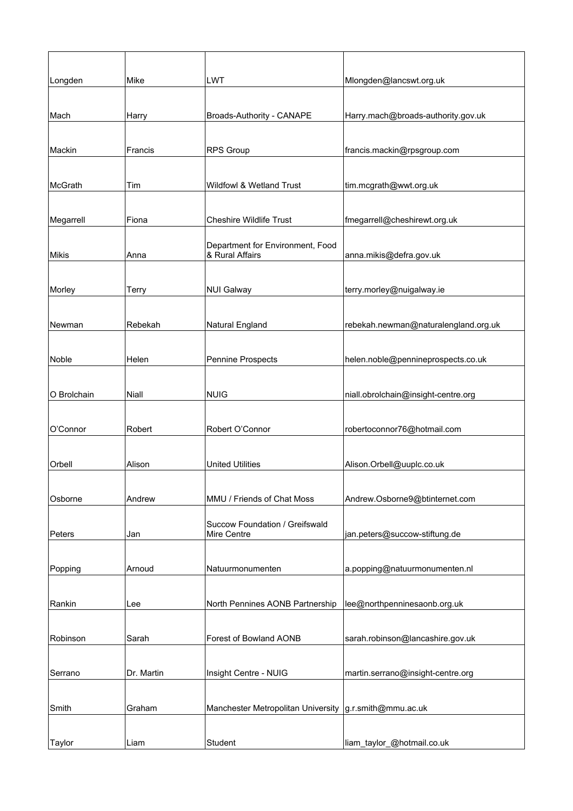| Longden      | Mike       | <b>LWT</b>                                          | Mlongden@lancswt.org.uk              |
|--------------|------------|-----------------------------------------------------|--------------------------------------|
|              |            |                                                     |                                      |
| Mach         | Harry      | Broads-Authority - CANAPE                           | Harry.mach@broads-authority.gov.uk   |
|              |            |                                                     |                                      |
| Mackin       | Francis    | <b>RPS Group</b>                                    | francis.mackin@rpsgroup.com          |
|              |            |                                                     |                                      |
| McGrath      | Tim        | <b>Wildfowl &amp; Wetland Trust</b>                 | tim.mcgrath@wwt.org.uk               |
|              |            |                                                     |                                      |
| Megarrell    | Fiona      | <b>Cheshire Wildlife Trust</b>                      | fmegarrell@cheshirewt.org.uk         |
| <b>Mikis</b> | Anna       | Department for Environment, Food<br>& Rural Affairs | anna.mikis@defra.gov.uk              |
|              |            |                                                     |                                      |
| Morley       | Terry      | <b>NUI Galway</b>                                   | terry.morley@nuigalway.ie            |
|              |            |                                                     |                                      |
| Newman       | Rebekah    | Natural England                                     | rebekah.newman@naturalengland.org.uk |
|              |            |                                                     |                                      |
| Noble        | Helen      | Pennine Prospects                                   | helen.noble@pennineprospects.co.uk   |
|              |            |                                                     |                                      |
| O Brolchain  | Niall      | <b>NUIG</b>                                         | niall.obrolchain@insight-centre.org  |
|              |            |                                                     |                                      |
| O'Connor     | Robert     | Robert O'Connor                                     | robertoconnor76@hotmail.com          |
|              |            |                                                     |                                      |
| Orbell       | Alison     | <b>United Utilities</b>                             | Alison.Orbell@uuplc.co.uk            |
|              |            |                                                     |                                      |
| Osborne      | Andrew     | MMU / Friends of Chat Moss                          | Andrew.Osborne9@btinternet.com       |
|              |            |                                                     |                                      |
| Peters       | Jan        | Succow Foundation / Greifswald<br>Mire Centre       | jan.peters@succow-stiftung.de        |
|              |            |                                                     |                                      |
| Popping      | Arnoud     | Natuurmonumenten                                    | a.popping@natuurmonumenten.nl        |
|              |            |                                                     |                                      |
| Rankin       | Lee        | North Pennines AONB Partnership                     | lee@northpenninesaonb.org.uk         |
|              |            |                                                     |                                      |
| Robinson     | Sarah      | Forest of Bowland AONB                              | sarah.robinson@lancashire.gov.uk     |
|              |            |                                                     |                                      |
| Serrano      | Dr. Martin | Insight Centre - NUIG                               | martin.serrano@insight-centre.org    |
|              |            |                                                     |                                      |
| Smith        | Graham     | Manchester Metropolitan University                  | g.r.smith@mmu.ac.uk                  |
|              |            |                                                     |                                      |
| Taylor       | Liam       | Student                                             | liam_taylor_@hotmail.co.uk           |
|              |            |                                                     |                                      |